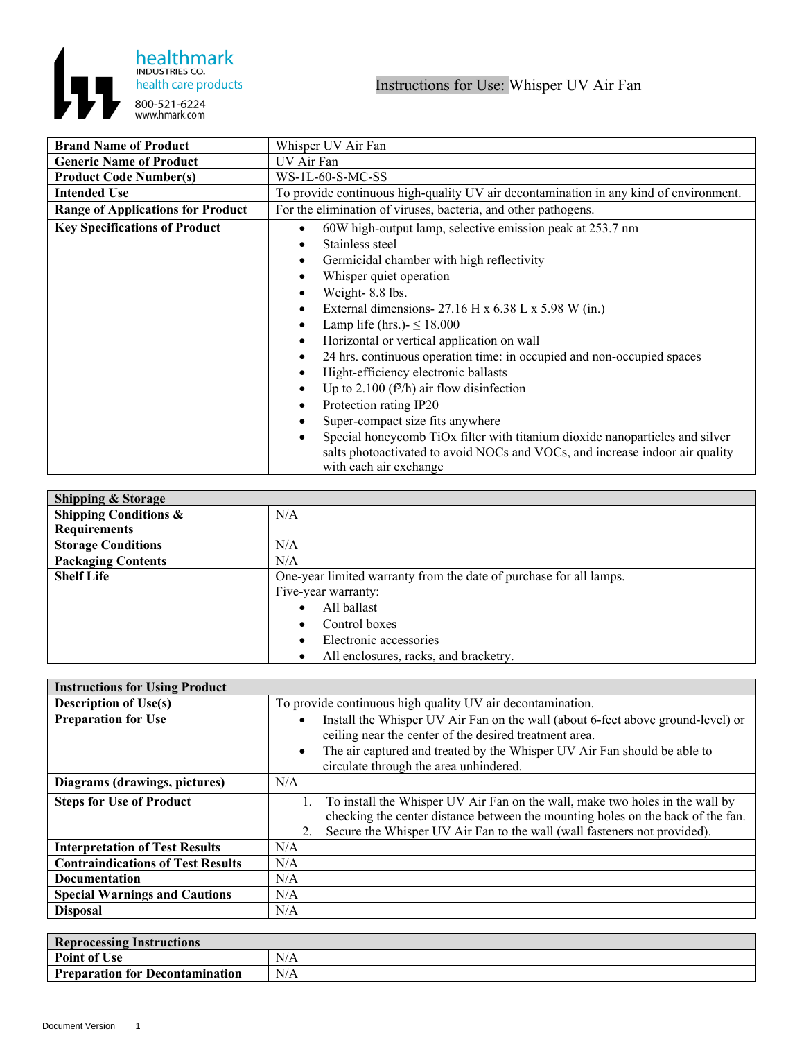

| <b>Brand Name of Product</b>             | Whisper UV Air Fan                                                                                     |
|------------------------------------------|--------------------------------------------------------------------------------------------------------|
| <b>Generic Name of Product</b>           | UV Air Fan                                                                                             |
| <b>Product Code Number(s)</b>            | WS-1L-60-S-MC-SS                                                                                       |
| <b>Intended Use</b>                      | To provide continuous high-quality UV air decontamination in any kind of environment.                  |
| <b>Range of Applications for Product</b> | For the elimination of viruses, bacteria, and other pathogens.                                         |
| <b>Key Specifications of Product</b>     | 60W high-output lamp, selective emission peak at 253.7 nm                                              |
|                                          | Stainless steel                                                                                        |
|                                          | Germicidal chamber with high reflectivity                                                              |
|                                          | Whisper quiet operation                                                                                |
|                                          | Weight-8.8 lbs.                                                                                        |
|                                          | External dimensions- $27.16$ H x $6.38$ L x $5.98$ W (in.)                                             |
|                                          | Lamp life (hrs.) $\leq$ 18.000                                                                         |
|                                          | Horizontal or vertical application on wall                                                             |
|                                          | 24 hrs. continuous operation time: in occupied and non-occupied spaces                                 |
|                                          | Hight-efficiency electronic ballasts                                                                   |
|                                          | Up to 2.100 ( $f^3/h$ ) air flow disinfection                                                          |
|                                          | Protection rating IP20                                                                                 |
|                                          | Super-compact size fits anywhere                                                                       |
|                                          | Special honeycomb TiOx filter with titanium dioxide nanoparticles and silver                           |
|                                          | salts photoactivated to avoid NOCs and VOCs, and increase indoor air quality<br>with each air exchange |

| <b>Shipping &amp; Storage</b>    |                                                                    |
|----------------------------------|--------------------------------------------------------------------|
| <b>Shipping Conditions &amp;</b> | N/A                                                                |
| <b>Requirements</b>              |                                                                    |
| <b>Storage Conditions</b>        | N/A                                                                |
| <b>Packaging Contents</b>        | N/A                                                                |
| <b>Shelf Life</b>                | One-year limited warranty from the date of purchase for all lamps. |
|                                  | Five-year warranty:                                                |
|                                  | All ballast                                                        |
|                                  | Control boxes                                                      |
|                                  | Electronic accessories                                             |
|                                  | All enclosures, racks, and bracketry.                              |

| <b>Instructions for Using Product</b>    |                                                                                                                                                                                                                                                                              |  |
|------------------------------------------|------------------------------------------------------------------------------------------------------------------------------------------------------------------------------------------------------------------------------------------------------------------------------|--|
| <b>Description of Use(s)</b>             | To provide continuous high quality UV air decontamination.                                                                                                                                                                                                                   |  |
| <b>Preparation for Use</b>               | Install the Whisper UV Air Fan on the wall (about 6-feet above ground-level) or<br>ceiling near the center of the desired treatment area.<br>The air captured and treated by the Whisper UV Air Fan should be able to<br>$\bullet$<br>circulate through the area unhindered. |  |
| Diagrams (drawings, pictures)            | N/A                                                                                                                                                                                                                                                                          |  |
| <b>Steps for Use of Product</b>          | To install the Whisper UV Air Fan on the wall, make two holes in the wall by<br>checking the center distance between the mounting holes on the back of the fan.<br>Secure the Whisper UV Air Fan to the wall (wall fasteners not provided).<br>2.                            |  |
| <b>Interpretation of Test Results</b>    | N/A                                                                                                                                                                                                                                                                          |  |
| <b>Contraindications of Test Results</b> | N/A                                                                                                                                                                                                                                                                          |  |
| Documentation                            | N/A                                                                                                                                                                                                                                                                          |  |
| <b>Special Warnings and Cautions</b>     | N/A                                                                                                                                                                                                                                                                          |  |
| <b>Disposal</b>                          | N/A                                                                                                                                                                                                                                                                          |  |

| <b>Reprocessing Instructions</b> |     |  |
|----------------------------------|-----|--|
| <b>Point of Use</b>              | N/A |  |
| Preparation for Decontamination  | N/A |  |